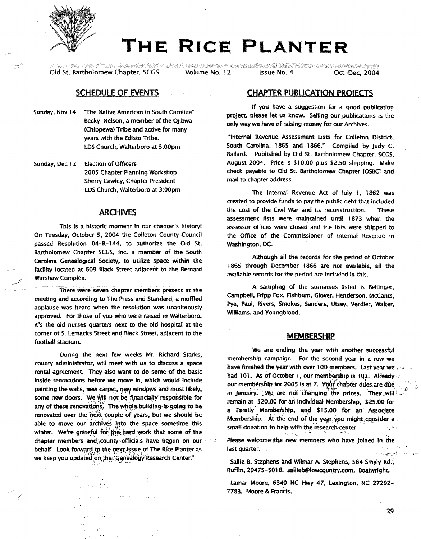

# **THE RICE PLANTER**

Old St. Bartholomew Chapter, SCGS Volume No. 12 Issue No. 4 Oct-Dec, 2004

# SCHEDULE OF EVENTS

- Sunday, Nov 14 The Native American in South Carolina" Becky Nelson, a member of the Ojibwa (Chippewa) Tribe and active for many years with the Edisto Tribe. LDS Church, Walterboro at 3:00pm
- Sunday, Dee 12 Election of Officers 2005 Chapter Planning WOrkshop Sherry cawley, Chapter President LOSChurch, Walterboro at 3:00pm

# ARCHIVES

This is a historic moment in our chapter's history! On Tuesday, October 5, 2004 the Colleton County Council passed Resolution 04-R-144. to authorize the Old St. Bartholomew Chapter SCGS, Inc. a member of the South Carolina Genealogical Society, to utilize space within the facility located at 609 Black Street adjacent to the Bernard Warshaw Complex.

There were seven chapter members present at the meeting and according to The Press and Standard, a muffled applause was heard when the resolution was unanimously approved. For those of you who were raised in Walterboro, it's the old nurses quarters next to the old hospital at the comer of S. Lemacks Street and Black Street, adjacent to the football stadium.

During the next few weeks Mr. Richard Starks, county administrator, will meet with us to discuss a space rental agreement. They also want to do some of the basic inside renovations before we move in, which would include painting the walls, new carpet, new windows and most likely, some new doors. We will not be financially responsible for any of these renovations. The whole building is going to be renovated over the next couple of years, but we should be able to move our archives into the space sometime this winter. We're grateful for the hard work that some of the chapter members and county officials have begun on our behalf. Look forward to the next issue of The Rice Planter as we keep you updated on. the Genealogy Research Center."

.<br>1 -

.,

# CHAPTER PUBUCATION PROJECTS

If you have a suggestion for a good publication project, please let us know. Selling our publications is the only way we have of raising money for our Archives.

"Internal Revenue Assessment Usts for Colleton District, South Carolina, 1865 and 1866." Compiled by Judy C. Ballard. Published by Old St. Bartholomew Chapter, SCGS, August 2004. Price is \$10.00 plus \$2.50 shipping. Make check payable to Old St. Bartholomew Chapter [OSBC] and mail to chapter address.

The Internal Revenue Act of July 1, 1862 was created to provide funds to pay the public debt that included the cost of the Civil War and its reconstruction. These assessment lists were maintained until 1873 when the assessor offices were closed and the lists Were shipped to the Office of the Commissioner of Internal Revenue in Washington, DC.

Although all the records for the period of October 1865 through December 1866 are not available, all the available records for the period are included in this.

A sampling of the surnames listed is Bellinger, Campbell, Fripp Fox, Fishburn, Glover, Henderson, McCants, Pye, Paul, Rivers, Smokes, Sanders, Utsey, Verdier, Walter, Williams, and Youngblood.

#### **MEMBERSHIP**

We are ending the year with another successful membership campaign. For the second year in a row we have finished the year with over 100 members. Last year we ,  $\mathcal{H}$ : had 101. As of October 1, our membership is 103. Already our membership for 2005 is at 7. Your chapter dues are due , ... ,<br>in January. We are 'not 'changing' the prices. They will; remain at \$20.00 for an Individual Membership, \$25.00 for a Family Membership, and \$15.00 for an Associate Membership. At the end of the year you might consider  $a_{\alpha}$ small donation to help with the research center.  $\mathcal{L}_{\text{max}}$ 

Please welcome the new members who have joined in the last quarter. أكثر تعين درياء

 $\;$  ,  $\;$  ,  $\;$  ,  $\;$  ,  $\;$  ,  $\;$  ,  $\;$  ,  $\;$  ,  $\;$  ,  $\;$  ,  $\;$  ,  $\;$ 

sallie B. Stephens and Wilmar A. Stephens, 564 Smyly Rd., Ruffin, 29475-5018. sallieb@lowcountry.com. Boatwright.

Lamar Moore, 6340 NC HWy 47, lexington, NC 27292- 7783. Moore & Francis.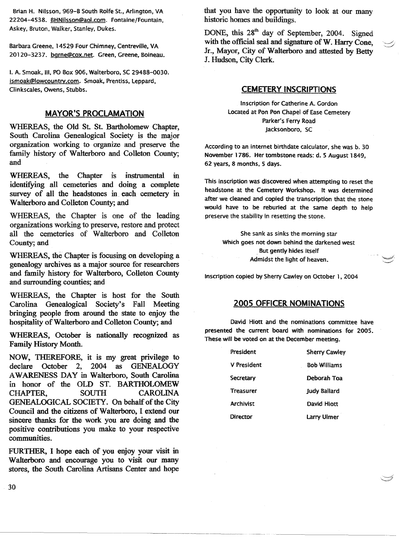Brian H. Nilsson, 969-8 South Rolfe St., Arlington, VA 22204-4538. BHNilsson@aol.com. Fontaine/Fountain, Askey, Bruton, Walker, Stanley, Dukes.

Barbara Greene, 14529 Four Chimney, Centreville, VA 20120-3237. bgrne@cox.net. Green, Greene, Boineau.

I. A. Smoak, Ill, PO Box 906, Walterboro, SC 29488-0030. ismoak@lowcountry.com. Smoak, Prentiss, Leppard, Clinkscales, Owens, Stubbs.

# MAYOR'S PROCLAMATION

WHEREAS, the Old St. St. Bartholomew Chapter, South Carolina Genealogical Society is the major organization working to organize and preserve the family history of Walterboro and Colleton County; and

WHEREAS, the Chapter is instrumental in identifying all cemeteries and doing a complete survey of all the headstones in each cemetery in Walterboro and Colleton County; and

WHEREAS, the Chapter is one of the leading organizations working to preserve, restore and protect all the cemeteries of Walterboro and Colleton County; and

WHEREAS, the Chapter is focusing on developing a genealogy archives as a major source for researchers and family history for Walterboro, Colleton County and surrounding counties; and

WHEREAS, the Chapter is host for the South Carolina Genealogical Society's Fall Meeting bringing people from around the state to enjoy the hospitality of Walterboro and Colleton County; and

WHEREAS, October is nationally recognized as Family History Month.

NOW, THEREFORE, it is my great privilege to declare October 2, 2004 as GENEALOGY AWARENESS DAY in Walterboro, South Carolina in honor of the OLD ST. BARTHOLOMEW CHAPTER, SOUTH CAROLINA GENEALOGICAL SOCIETY. On behalf of the City Council and the citizens of Walterboro, I extend our sincere thanks for the work you are doing and the positive contributions you make to your respective communities.

FURTHER, I hope each of you enjoy your visit in Walterboro and encourage you to visit our many stores, the South Carolina Artisans Center and hope

that you have the opportunity to look at our many historic homes and buildings.

DONE, this 28<sup>th</sup> day of September, 2004. Signed with the official seal and signature of W. Harry Cone, Jr., Mayor, City of Walterboro and attested by Betty J. Hudson, City Clerk.

# CEMETERY INSCRIPTIONS

Inscription for Catherine A. Gordon Located at Pon Pon Chapel of Ease Cemetery Parker's Ferry Road Jacksonboro, SC

According to an internet birthdate calculator, she was b. 30 November 1786. Her tombstone reads: d. 5 August 1849, 62 years, 8 months, 5 days.

This inscription was discovered when attempting to reset the headstone at the Cemetery Workshop. It was determined after we cleaned and copied the transcription that the stone would have to be reburied at the same depth to help preserve the stability in resetting the stone.

She sank as sinks the morning star Which goes not down behind the darkened west . But gently hides itself Admidst the light of heaven.

Inscription copied by Sherry cawley on October 1, 2004

# 2005 OFFICER NOMINATIONS

David Hiott and the nominations committee have presented the current board with nominations for 2005. These will be voted on at the December meeting.

| President        | <b>Sherry Cawley</b> |
|------------------|----------------------|
| V President      | <b>Bob Williams</b>  |
| Secretary        | Deborah Toa          |
| <b>Treasurer</b> | <b>Judy Ballard</b>  |
| <b>Archivist</b> | David Hintt          |
| Director         | Larry Ulmer          |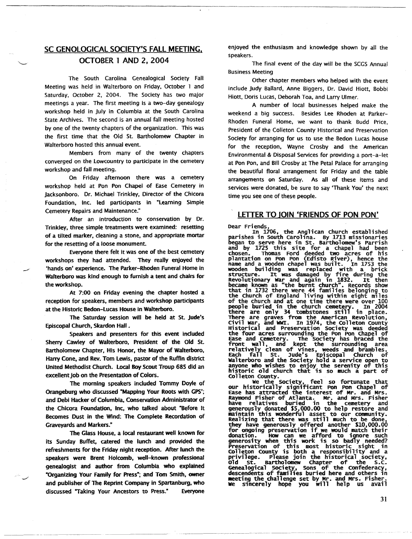# SC GENOLOGICAL SOCIETY'S FALL MEETING,

-------------------------------------- .\_------- .\_------\_ ..~---------

# OCTOBER 1 AND 2, 2004

The South Carolina Genealogical Society Fall Meeting was held in Walterboro on Friday, October 1 and Saturday, October 2, 2004. The Society has two major meetings a year. The first meeting is a two-day genealogy workshop held in July in Columbia at the South Carolina State Archives. The second is an annual fall meeting hosted by one of the twenty chapters of the organization. This was the first time that the Old St. Bartholomew Chapter in Walterboro hosted this annual event.

Members from many of the twenty chapters converged on the Lowcountry to participate in the cemetery workshop and fall meeting.

On Friday afternoon there was a cemetery workshop held at Pon Pon Chapel of Ease Cemetery in Jacksonboro. Or. Michael Trinkley, Director of the Chicora Foundation, Inc. led participants in "learning Simple Cemetery Repairs and Maintenance."

After an introduction to conservation by Or. Trinkley, three simple treatments were examined: resetting of a tilted marker, cleaning a stone, and appropriate mortar for the resetting of a loose monument.

Everyone there felt it was one of the best cemetery workshops they had attended. They really enjoyed the 'hands on' experience. The Parker-Rhoden Funeral Home in Walterboro was kind enough to furnish a tent and chairs for the workshop.

-

At 7:00 on Friday evening the chapter hosted a reception for speakers, members and workshop participants at the Historic Redon-lucas House In Walterboro.

The Saturday session will be held at St. Jude's Episcopal Church, Skardon Hall .

Speakers and presenters for this event included Sherry cawley of Walterboro, President of the Old St. Bartholomew Chapter, His Honor, the Mayor of Walterboro, Harry Cone, and Rev. Tom lewis, pastor of the Ruffin district United Methodist Church. Local Boy Scout Troup 685 did an excellent job on the Presentation of Colors.

The morning speakers included Tommy Doyle of Orangeburg who discussed "Mapping Your Roots with GPS'; and Debi Hacker of Columbia, Conservation Administrator of the Chicora Foundation, Inc, who talked about "Before It Becomes Dust in the Wind: The Complete Recordation of Graveyards and Markers:

The Glass House, a local restaurant well known for its Sunday Buffet, catered the lunch and provided the refreshments for the friday night reception. After lunch the speakers were Brent Holcomb, well-known professional genealogist and author from Columbia who explained "Organizing Your Family for Press·; and Tom Smith. owner and publisher of The Reprint Company in Spartanburg, who discussed "Taking Your Ancestors to Press" Everyone

enjoyed the enthusiasm and knowledge shown by all the speakers.

The final event of the day will be the SCGS Annual Business Meeting

Other chapter members who helped with the event include Judy Ballard, Anne Biggers, Dr. David Hiott, Bobbi Hiott, Doris Lucas, Deborah Toa, and Larry Ulmer.

A number of local businesses helped make the weekend a big success. Besides Lee Rhoden at Parker-Rhoden Funeral Home, we want to thank Budd Price, President of the Colleton County Historical and Preservation Society for arranging for us to use the Bedon Lucas house for the reception, Wayne Crosby and the American Environmental & Disposal Services for providing a port-a-fet at Pon Pon, and Bill Crosby at The Petal Palace for arranging the beautiful floral arrangement for Friday and the table arrangements on Saturday. As all of these items and services were donated, be sure to say 'Thank You' the next time you see one of these people.

#### LETTER TO JOIN 'FRIENDS OF PON PON'

Dear Friends,

Dear Friends, the Anglican church established<br>parishes in South Carolina. By 1713 missionaries began to serve nere in St. Bartholomew's Parrish<br>and by 1725 this site for a chapel had been<br>chosen. Thomas Ford deeded two acres of his began to serve here in St. Bartholomew's Parrish plantation on Pon Pon (Edisto River), hence th<br>name and a wooden chapel was built. In 1753 th wooden building was replaced with a brick structure. It was damaged by fi re during the Revolutionary war and again 1n 1832. It then became known as "the burnt church". Records show that in 1732 there were 44 families belonging to<br>the Church of England living within eight miles of the church and at one time there were over 100 there are only 34 tombstones still in place. There are graves from the American Revolution<br>Civil War, and WWI. In 1974, the Colleton Count<br>Historical and Preservation Society was deede the four acres surrounding the Pon Pon Chapel of<br>Ease and Cemetery. The Society has braced the front wall, and kept the surrounding are Each fall St. Jude's Episcopal Church of anyone who wishes to enjoy the serenity of this<br>historic old church that is so much a part of<br>Colleton County.

we the Society, feel so fortunate tha our historically significant Pon Pon Chapel of Ease has attracted the interest of Mr. and Mrs. Raymond Fisher of Atlanta. Mr. and Mrs. Fisher have relatives buried in the cemetery and generously donated \$5,000.00 to help restore and<br>maintain this wonderful asset to our community.<br>Realizing that there was still much to be done,<br>they have generously offered another \$10,000.00<br>for ongoing preservation if w donation. How can we afford to ignore such generosity when this work is so badly needed? preservation of this most historic sight in Colleton County is both a responsibility and a privilege. Please join the historical society<br>Old St. Bartholomew Chapter of the S.C Genealogical society, Sons of the confederacy, descendents of families buried here and others in meeting the challenge set by Mr. and Mrs. Fisher<br>We sincerely hope you will help us avai

31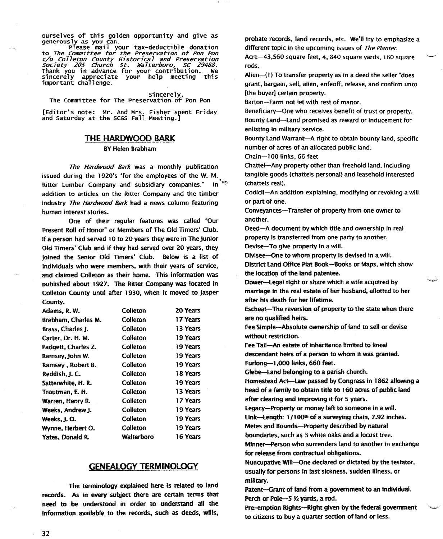ourselves of this golden opportunity and give as<br>generously as you can.

generously please mail your tax-deductible donation<br>to The Committee for the Preservation of Pon Pon c/o Colleton County Historical and Preservation<br>Society *205 Church St. Walterboro, SC 29488.*<br>Thank you in advance for your contribution. We sincerely appreciate your help meeting this<br>important challenge.

sincerely, The committee for The preservation of Pon Pan

[Editor's note: Mr. And Mrs. Fisher spent Friday<br>and Saturday at the SCGS Fall Meeting.]

#### THE HARDWOOD BARK

#### BYHelen Brabham

The Hardwood Bark was a monthly publication issued during the 1920's "for the employees of the W. M. Ritter Lumber Company and subsidiary companies." In addition to articles on the Ritter Company and the timber industry The Hardwood Bark had a news column featuring human interest stories.

One of their regular features was called "Our Present Roll of Honor" or Members of The Old Timers' Club. If a person had served 10 to 20 years they were in The junior Old Timers' Club and if they had served over 20 years, they joined the Senior Old Timers' Club. Below is a list of individuals who were members, with their years of service, and claimed Colleton as their home. This information was published about 1927. The Ritter Company was located in Colleton County until after 1930, when it moved to jasper County.

| Adams, R. W.        | Colleton   | 20 Years |
|---------------------|------------|----------|
|                     |            |          |
| Brabham, Charles M. | Colleton   | 17 Years |
| Brass, Charles J.   | Colleton   | 13 Years |
| Carter. Dr. H. M.   | Colleton   | 19 Years |
| Padgett, Charles Z. | Colleton   | 19 Years |
| Ramsey, John W.     | Colleton   | 19 Years |
| Ramsey, Robert B.   | Colleton   | 19 Years |
| Reddish, J. C.      | Colleton   | 18 Years |
| Satterwhite, H.R.   | Colleton   | 19 Years |
| Troutman, E. H.     | Colleton   | 13 Years |
| Warren, Henry R.    | Colleton   | 17 Years |
| Weeks, Andrew J.    | Colleton   | 19 Years |
| Weeks, J.O.         | Colleton   | 19 Years |
| Wynne, Herbert O.   | Colleton   | 19 Years |
| Yates, Donald R.    | Walterboro | 16 Years |
|                     |            |          |

#### GENEAlOGY TERMINOlOGY

The terminology explained here is related to land records. As in every subject there are certain terms that need to be understood in order to understand all the information available to the records, such as deeds, wills,

probate records, land records. etc. We'll try to emphasize a different topic in the upcoming issues of The Planter. Acre-43,560 square feet, 4, 840 square yards, 160 square

rods.

Alien-(1) To transfer property as in a deed the seller "does grant, bargain, sell, alien, enfeoff, release, and confirm unto [the buyer] certain property.

Barton-Farm not let with rest of manor.

Beneficiary-Qne who receives benefit of trust or property. Bounty Land-Land promised as reward or inducement for enlisting in military service.

Bounty Land Warrant-A right to obtain bounty land, specific number of acres of an allocated public land.

Chain-100 links. 66 feet

Chattel-Any property other than freehold land, including tangible goods (chattels personal) and leasehold interested (chattels reai).

Codicil-An addition explaining, modifying or revoking a will or part of one.

Conveyances-Transfer of property from one owner to another.

Deed-A document by which title and ownership in real property is transferred from one party to another.

Devise-To give property in a will.

Divisee-One to whom property is devised in a will. District Land Office Plat Book-Books or Maps, which show the location of the land patentee.

Dower-legal right or share which a wife acquired by marriage in the real estate of her husband, allotted to her after his death for her lifetime.

Escheat-The reversion of property to the state when there are no qualified heirs.

Fee Simple-Absolute ownership of land to sell or devise without restriction.

Fee Tall-An estate of inheritance limited to lineal descendant heirs of a person to whom it was granted. Furlong-1,000 links, 660 feet.

Glebe-Land belonging to a parish church.

Homestead Act-Law passed by Congress in 1862 allowing a head of a family to obtain title to 160 acres of public land after dearing and improving it for 5 years.

legacy-Property or money left to someone in a will.

Link-Length:  $1/100<sup>th</sup>$  of a surveying chain, 7.92 inches.

Metes and Bounds-Property described by natural

boundaries, such as 3 white oaks and a locust tree.

Minner-Person who surrenders land to another in exchange for release from contractual obligations.

Nuncupative Will-Qne declared or dictated by the testator, usually for persons in last sickness, sudden illness, or military.

Patent-Grant of land from a government to an individual. ratent—Grant or rand from a go<br>Perch or Pole—5 ½ yards, a rod

Pre-emption Rights--Right given by the federal government to citizens to buy a quarter section of land or less.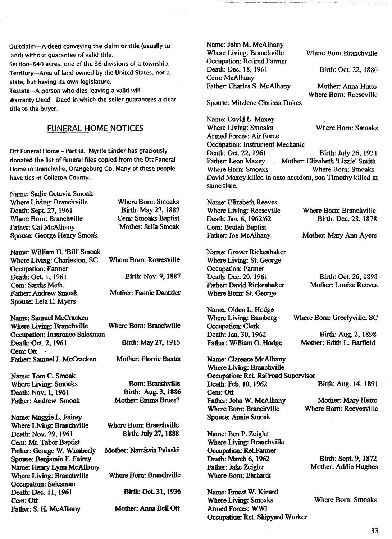Quitclaim-A deed conveying the claim or title (usually to land) without quarantee of valid title.

Section-640 acres, one of the 36 divisions of a township. Territory-Area of land owned by the United States, not a state, but having its own legislature.

Testate-A person who dies leaving a valid will.

Warranty Deed-Deed in which the seller guarantees a clear title to the buyer.

# FUNERAL HOME NOTICES

Ott Funeral Home - Part III. Myrtle Linder has graciously donated the list of funeral files copied from the Ott Funeral Home in Branchville, Orangeburg Co. Many of these people have ties in Colleton County.

Name: Sadie Octavia Smoak Where Living: Branchville Death: Sept. 27, 1961 Where Born: Branchville Father: Cal McAlhany Spouse: George Henry Smoak

Where Born: Smoaks Birth: May 27, 1887 Cern: Smoaks Baptist Mother: Julia Smoak

- Name: William H. 'Bill' Smoak Where Living: Charleston, SC Occupation: Farmer Death: Oct. 1, 1961 Cem: Sardis Meth. Father: Andrew Smoak Spouse: Lela E. Myers
- Name: Samuel McCracken Where Living: Branchville Where Born: Branchville Occupation: Insurance Salesman<br>Death: Oct. 2, 1961 Cem:Ott Father: Samuel J. McCracken Mother: Florrie Baxter

Name: Tom C. Smoak Where Living: Smoaks Death: Nov. 1, 1961 Father: Andrew Smoak

Mother: Anna Bell Ott Name: Maggie L. Fairey Where Living: Branchville Death: Nov. 29, 1961 Cem: Mt. Tabor Baptist Father: George W. Wimberly Spouse: Benjamin F. Fairey Name: Henry Lynn McAIhany Where Living: Branchville Occupation: Salesman Death: Dec. 11, 1961 Cem:Ott Father: S. H. McAlhany

Birth: Nov. 9, 1887 Mother: Fannie Dantzler Where Born: Rowesville

Birth: May 27, 1915

Born: Branchville Birth: Aug. 3, 1886 Mother: Emma Bmes?

Birth: Oct. 31,1936 Where Born: Branchville Where Born: Branchville Birth: July 27,1888 Mother: Narcissia Pulaski

Name: John M. McAlhany Where Living: Branchville Occupation: Retired Farmer Death: Dec. 18, 1961 Cem: McAlhany Father: Charles S. McAlhany

Spouse: Mitzlene Clarissa Dukes

Name: David L. Maxey Where Living: Smoaks Where Born: Smoaks Armed Forces: Air Force Occupation: Instrument Mechanic<br>Death: Oct. 22, 1961 Death: Oct. 22, 1961 Birth: July 26, 1931<br>Father: Leon Maxey Mother: Elizabeth 'Lizzie' Smith Mother: Elizabeth 'Lizzie' Smith<br>Where Born: Smoaks Where Born: Smoaks David Maxey killed in auto accident, son Timothy killed at same time.

Name: Elizabeth Reeves Where Living: Reeseville Death: Jan. 6, 1962/62 Cem: Beulah Baptist Father: Joe McAlhany

Name: Grover Rickenbaker Where Living: St. George Occupation: Farmer Death: Dec. 20, 1961 Father: David Rickenbaker Where Born: St. George

Name: Olden L. Hodge Where Living: Bamberg Occupation: Clerk Death: Jan. 30,1962 Father: William O. Hodge

Name: Clarence McAlhany Where Living: Branchville Occupation: Ret. Railroad Supervisor<br>Death: Feb. 10, 1962 Cem:Ott Father: John W. McAlhany Where Born: Branchville Spouse: Annie Smoak.

Name: Ben P. Zeigler Where Living: Branchville Occupation: Ret.Farmer Death: March 6, 1962 Father: Jake Zeigler Where Born: Ehrhardt

Name: Ernest W. Kinard Where Living: Smoaks Armed Forces: WWI Occupation: Ret. Shipyard Worker

Where Born: Branchville

Where Bom:Branchville

Birth: OcL 22, 1880

Mother: Anna Hutto Where Born: Reeseville

Birth: Dec. 28, 1878

Mother: Mary Ann Ayers

Birth: Oct. 26, 1898 Mother: Louise Reeves

Where Born: Greelyville, SC

Birth: Aug. 2, 1898 Mother: Edith L. Barfield

Birth: Aug. 14, 1891

Mother: Mary Hutto Where Born: Reevesville

Birth: Sept. 9,1872 Mother: Addie Hughes

Where Born: Smoaks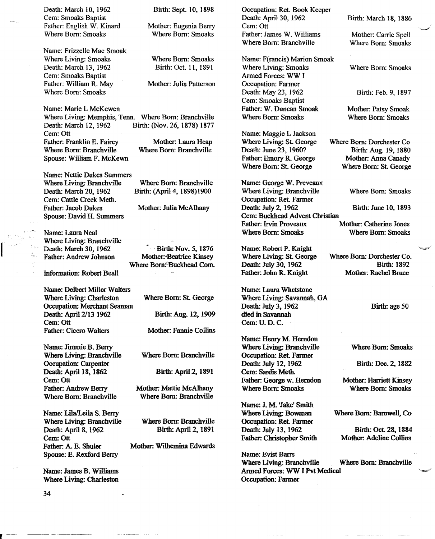Death: March 10, 1962 Cem: Smoaks Baptist Father: English W. Kinard Where Born: Smoaks

Name: Frizzelle Mae Smoak Where Living: Smoaks Death: March 13, 1962 Cern: Smoaks Baptist Father: William R. May Where Born: Smoaks

Mother: Laura Heap Where Born: Branchville Name: Marie L McKewen Where Living: Memphis, Tenn. Where Born: Branchville<br>Death: March 12, 1962 Birth: (Nov. 26, 1878) 1877 Cern: Ott Father: Franklin E. Fairey Where Born: Branchville Spouse: William F. McKewn

Name: Nettie Dukes Summers Where Living: Branchville Death: March 20, 1962 Cern: Cattle Creek Meth. Father: Jacob Dukes Spouse: David H. Summers

Name: Laura Neal Where Living: Branchville Death: March 30, 1962 Father: Andrew Johnson

Information: Robert Beall

Name: Delbert Miller Walters Where Living: Charleston Occupation: Merchant Seaman Death: April 2/13 1962 Cem: Ott Father: Cicero Walters

Name: Jimmie B. Berry Where Living: Branchville Occupation: Carpenter Death: April 18, 1862 Cem:Ott Father: Andrew Berry Where Born: Branchville

Name: Lila/Leila S. Berry Where Living: Branchville Death: April 8, 1962 Cem:Ott Father: A. E. Shuler Spouse: E. Rexford Berry

Name: James B. Williams Where Living: Charleston Birth: Sept. 10, 1898

Mother: Eugenia Berry Where Born: Smoaks

Where Born: Smoaks Birth: Oct. 11, 1891

Mother: Julia Patterson

Birth: (Nov. 26, 1878) 1877

Where Born: Branchville Birth: (Apri14, 1898)1900

Mother: Julia McAlhany

Birth: Nov. 5, 1876 Mother: Beatrice Kinsey Where Born: Buckhead Com.

> Where Born: St. George Birth: Aug. 12, 1909

Mother: Fannie Collins

Where Born: Branchville

Birth: April 2, 1891

Mother: Mattie McAlhany Where Born: Branchville

Where Born: Branchville Birth: April 2, 1891

Mother: Wilhemina Edwards

Occupation: Ret. Book Keeper Death: April 30, 1962 Cem:Ott Father: James W. Williams Where Born: Branchville

Name: F(rancis) Marion Smoak Where Living: Smoaks Armed Forces: WW I Occupation: Farmer Death: May 23, 1962 Cern: Smoaks Baptist Father: W. Duncan Smoak Where Born: Smoaks

Name: Maggie L Jackson Where Living: St. George Death: June 23, 196O? Father: Emory R. George Where Born: St. George

Name: George W. Preveaux Where Living: Branchville Where Born: Smoaks Occupation: Ret. Farmer<br>Death: July 2, 1962 Cem: Buckhead Advent Christian Where Born: Smoaks Where Born: Smoaks

Name: Robert P. Knight Where Living: St. George Death: July 30, 1962 Father: John R. Knight

Name: Laura Whetstone Where Living: Savannah, GA Death: July 3, 1962 died in Savannah Cem:U.D.C.

Name: Henry M. Herndon Where Living: Branchville Occupation: Ret. Farmer Death: July 12, 1962 Cern: Sardis Meth. Father: George w. Herndon Where Bom: Smoaks

Name: J. M. 'Jake' Smith Where Living: Bowman Occupation: Ret. Farmer Death: July 13, 1962 Father: Christopher Smith

Name: Evist Barrs Where Living: Branchville Where Born: Branchville Armed Forces: WW I Pvt Medical Occupation: Farmer

Birth: March 18, 1886

Mother: Carrie Spell Where Born: Smoaks

Where Born: Smoaks

Birth: Feb. 9, 1897

Mother: Patsy Smoak Where Born: Smoaks

Where Born: Dorchester Co Birth: Aug. 19,1880 Mother: Anna Canady Where Born: St. George

Birth: June 10, 1893

Mother: Catherine Jones

Where Born: Dorchester Co. Birth: 1892 Mother: Rachel Bmce

Birth: age 50

Where Born: Smoaks

Birth: Dec. 2, 1882

Mother: Harriett Kinsey Where Born: Smoaks

Where Born: Barnwell, Co

Birth: Oct. 28,1884 Mother: Adeline Collins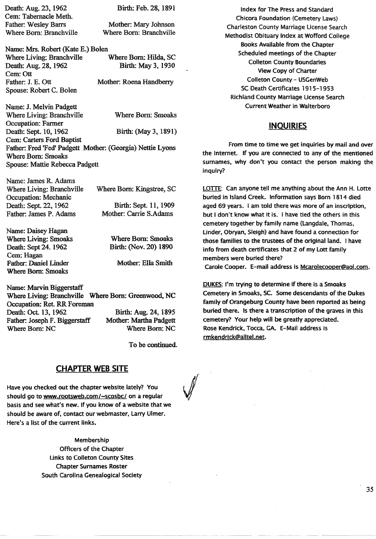Death: Aug. 23,1962 Cem: Tabernacle Meth. Father. Wesley Barrs Where Born: Branchville Birth: Feb. 28, 1891

Mother: Mary Johnson Where Born: Branchville

Name: Mrs. Robert (Kate E.) Bolen Where Living: Branchville Where Born: Hilda, SC<br>Death: Aug. 28, 1962 Birth: May 3, 1930 Death: Aug. 28, 1962 Cem:Ott Father: J. E. Ott Mother: Roena Handberry Spouse: Robert C. Bolen

Name: J. Melvin Padgett Where Living: Branchville Where Born: Smoaks Occupation: Farmer Death: Sept. 10, 1962 Birth: (May 3, 1891) Cern: Carters Ford Baptist Father. Fred 'Fed' Padgett Mother: (Georgia) Nettie Lyons Where Born: Smoaks Spouse: Mattie Rebecca Padgett

| Name: James R. Adams      |                           |
|---------------------------|---------------------------|
| Where Living: Branchville | Where Born: Kingstree, SC |
| Occupation: Mechanic      |                           |
| Death: Sept. 22, 1962     | Birth: Sept. 11, 1909     |
| Father: James P. Adams    | Mother: Carrie S.Adams    |

Name: Daisey Hagan Where Living: Smoaks Death: Sept 24. 1962 Cem: Hagan Father. Daniel Linder Where Born: Smoaks

Where Born: Smoaks Birth: (Nov. 20) 1890

Mother: Ella Smith

Birth: Aug. 24,1895 Mother: Martha Padgett Where Born: NC Name: Marvin Biggerstaff Where Living: Branchville Where Born: Greenwood, NC Occupation: Ret. RR Foreman Death: Oct. 13, 1962 Father: Joseph F. Biggerstaff Where Born: NC

To be continued.

# **CHAPTER WEB SITE**

Have you checked out the chapter website lately? You should go to www.rootsweb.com/~scosbc/ on a regular basis and see what's new. If you know of a website that we should be aware of, contact our webmaster, Larry Ulmer. Here's a list of the current links.

> Membership Officers of the Chapter links to Colleton County Sites Chapter Surnames Roster South Carolina Genealogical Society

Index for The Press and Standard Chicora Foundation (Cemetery Laws) Charleston County Marriage license Search Methodist Obituary Index at Wofford College Books Available from the Chapter Scheduled meetings of the Chapter Colleton County Boundaries View Copy of Charter Colleton County - USGenWeb SC Death Certificates 1915-1953 Richland County Marriage License Search Current Weather in Walterboro

# **INQUIRIES**

From time to time we get inquiries by mail and over the internet. If you are connected to any of the mentioned surnames, why don't you contact the person making the inquiry?

LOTTE: Can anyone tell me anything about the Ann H. Lotte buried in Island Creek. Information says Born 1814 died aged 69 years. I am told there was more of an inscription, but I don't know what it is. I have tied the others in this cemetery together by family name (Langdale, Thomas, Under, Obryan, Sleigh) and have found a connection for those families to the trustees of the original land. I have info from death certificates that 2 of my Lott family members were buried there?

Carole Cooper. E-mail address is Mcarolecooper@aol.com.

DUKES: I'm trying to determine if there is a Smoaks Cemetery in Smoaks, SC. Some descendants of the Dukes family of Orangeburg County have been reported as being buried there. Is there a transcription of the graves in this cemetery? Your help will be greatly appreciated. Rose Kendrick, Tocca. GA. E-Mail address is rmkendrick@allteLnet.